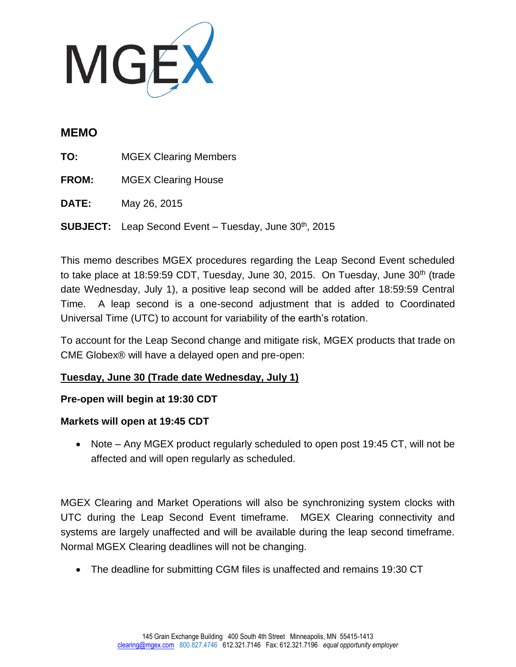

## **MEMO**

**TO:** MGEX Clearing Members

**FROM:** MGEX Clearing House

**DATE:** May 26, 2015

**SUBJECT:** Leap Second Event – Tuesday, June 30<sup>th</sup>, 2015

This memo describes MGEX procedures regarding the Leap Second Event scheduled to take place at 18:59:59 CDT, Tuesday, June 30, 2015. On Tuesday, June  $30<sup>th</sup>$  (trade date Wednesday, July 1), a positive leap second will be added after 18:59:59 Central Time. A leap second is a one-second adjustment that is added to Coordinated Universal Time (UTC) to account for variability of the earth's rotation.

To account for the Leap Second change and mitigate risk, MGEX products that trade on CME Globex® will have a delayed open and pre-open:

## **Tuesday, June 30 (Trade date Wednesday, July 1)**

## **Pre-open will begin at 19:30 CDT**

## **Markets will open at 19:45 CDT**

• Note – Any MGEX product regularly scheduled to open post 19:45 CT, will not be affected and will open regularly as scheduled.

MGEX Clearing and Market Operations will also be synchronizing system clocks with UTC during the Leap Second Event timeframe. MGEX Clearing connectivity and systems are largely unaffected and will be available during the leap second timeframe. Normal MGEX Clearing deadlines will not be changing.

The deadline for submitting CGM files is unaffected and remains 19:30 CT